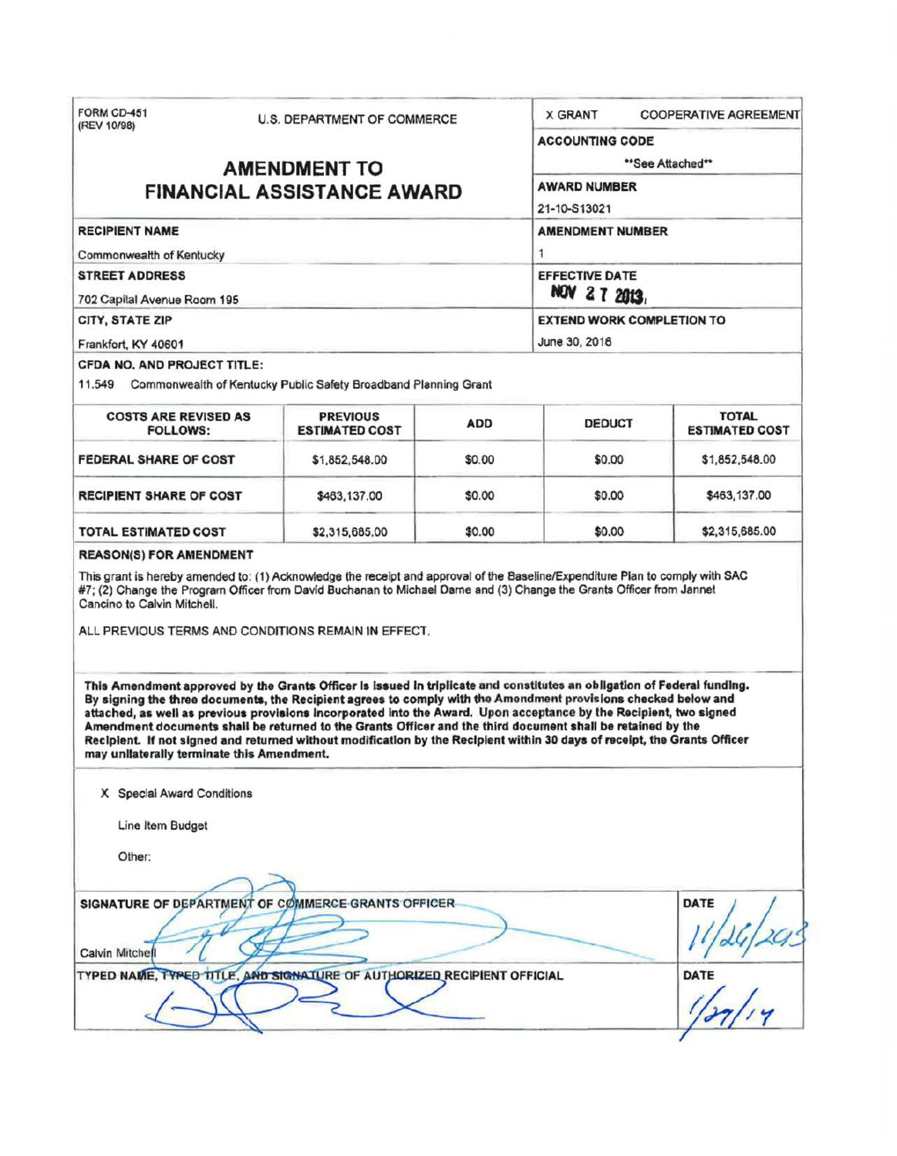| FORM CD-451<br>(REV 10/98)                                                                                              | <b>U.S. DEPARTMENT OF COMMERCE</b>                                                                                                                                                                                                                                                                                                                                                                                                                                                                                                                                                                                                                                 |                  | <b>X GRANT</b>                            | <b>COOPERATIVE AGREEMENT</b>          |
|-------------------------------------------------------------------------------------------------------------------------|--------------------------------------------------------------------------------------------------------------------------------------------------------------------------------------------------------------------------------------------------------------------------------------------------------------------------------------------------------------------------------------------------------------------------------------------------------------------------------------------------------------------------------------------------------------------------------------------------------------------------------------------------------------------|------------------|-------------------------------------------|---------------------------------------|
|                                                                                                                         |                                                                                                                                                                                                                                                                                                                                                                                                                                                                                                                                                                                                                                                                    |                  | <b>ACCOUNTING CODE</b>                    |                                       |
|                                                                                                                         | <b>AMENDMENT TO</b>                                                                                                                                                                                                                                                                                                                                                                                                                                                                                                                                                                                                                                                | **See Attached** |                                           |                                       |
| <b>FINANCIAL ASSISTANCE AWARD</b>                                                                                       |                                                                                                                                                                                                                                                                                                                                                                                                                                                                                                                                                                                                                                                                    |                  | <b>AWARD NUMBER</b>                       |                                       |
|                                                                                                                         |                                                                                                                                                                                                                                                                                                                                                                                                                                                                                                                                                                                                                                                                    |                  | 21-10-S13021                              |                                       |
| <b>RECIPIENT NAME</b>                                                                                                   |                                                                                                                                                                                                                                                                                                                                                                                                                                                                                                                                                                                                                                                                    |                  | <b>AMENDMENT NUMBER</b>                   |                                       |
| Commonwealth of Kentucky                                                                                                |                                                                                                                                                                                                                                                                                                                                                                                                                                                                                                                                                                                                                                                                    |                  | 1<br><b>EFFECTIVE DATE</b><br>NOV 27 2013 |                                       |
| <b>STREET ADDRESS</b>                                                                                                   |                                                                                                                                                                                                                                                                                                                                                                                                                                                                                                                                                                                                                                                                    |                  |                                           |                                       |
| 702 Capital Avenue Room 195                                                                                             |                                                                                                                                                                                                                                                                                                                                                                                                                                                                                                                                                                                                                                                                    |                  |                                           |                                       |
| CITY, STATE ZIP                                                                                                         |                                                                                                                                                                                                                                                                                                                                                                                                                                                                                                                                                                                                                                                                    |                  | <b>EXTEND WORK COMPLETION TO</b>          |                                       |
| Frankfort, KY 40601                                                                                                     |                                                                                                                                                                                                                                                                                                                                                                                                                                                                                                                                                                                                                                                                    |                  | June 30, 2016                             |                                       |
| <b>CFDA NO. AND PROJECT TITLE:</b>                                                                                      | 11.549 Commonwealth of Kentucky Public Safety Broadband Planning Grant                                                                                                                                                                                                                                                                                                                                                                                                                                                                                                                                                                                             |                  |                                           |                                       |
| <b>COSTS ARE REVISED AS</b><br><b>FOLLOWS:</b>                                                                          | <b>PREVIOUS</b><br><b>ESTIMATED COST</b>                                                                                                                                                                                                                                                                                                                                                                                                                                                                                                                                                                                                                           | <b>ADD</b>       | <b>DEDUCT</b>                             | <b>TOTAL</b><br><b>ESTIMATED COST</b> |
| <b>FEDERAL SHARE OF COST</b>                                                                                            | \$1,852,548.00                                                                                                                                                                                                                                                                                                                                                                                                                                                                                                                                                                                                                                                     | \$0.00           | \$0.00                                    | \$1,852,548.00                        |
|                                                                                                                         |                                                                                                                                                                                                                                                                                                                                                                                                                                                                                                                                                                                                                                                                    |                  | \$0.00                                    | \$463,137.00                          |
|                                                                                                                         | \$463,137.00                                                                                                                                                                                                                                                                                                                                                                                                                                                                                                                                                                                                                                                       | \$0.00           |                                           |                                       |
| <b>RECIPIENT SHARE OF COST</b><br>TOTAL ESTIMATED COST<br><b>REASON(S) FOR AMENDMENT</b><br>Cancino to Calvin Mitchell. | \$2,315,685.00<br>This grant is hereby amended to: (1) Acknowledge the receipt and approval of the Baseline/Expenditure Plan to comply with SAC<br>#7; (2) Change the Program Officer from David Buchanan to Michael Dame and (3) Change the Grants Officer from Jannet                                                                                                                                                                                                                                                                                                                                                                                            | \$0.00           | \$0.00                                    | \$2,315,685.00                        |
|                                                                                                                         | ALL PREVIOUS TERMS AND CONDITIONS REMAIN IN EFFECT.<br>This Amendment approved by the Grants Officer is issued in triplicate and constitutes an obligation of Federal funding.<br>By signing the three documents, the Recipient agrees to comply with the Amendment provisions checked below and<br>attached, as well as previous provisions incorporated into the Award. Upon acceptance by the Recipient, two signed<br>Amendment documents shall be returned to the Grants Officer and the third document shall be retained by the<br>Recipient. If not signed and returned without modification by the Recipient within 30 days of receipt, the Grants Officer |                  |                                           |                                       |
| may unilaterally terminate this Amendment.                                                                              |                                                                                                                                                                                                                                                                                                                                                                                                                                                                                                                                                                                                                                                                    |                  |                                           |                                       |
| X Special Award Conditions<br>Line Item Budget                                                                          |                                                                                                                                                                                                                                                                                                                                                                                                                                                                                                                                                                                                                                                                    |                  |                                           |                                       |
| Other:                                                                                                                  |                                                                                                                                                                                                                                                                                                                                                                                                                                                                                                                                                                                                                                                                    |                  |                                           |                                       |
|                                                                                                                         |                                                                                                                                                                                                                                                                                                                                                                                                                                                                                                                                                                                                                                                                    |                  |                                           |                                       |
| <b>Calvin Mitchell</b>                                                                                                  | SIGNATURE OF DEPARTMENT OF COMMERCE GRANTS OFFICER-                                                                                                                                                                                                                                                                                                                                                                                                                                                                                                                                                                                                                |                  |                                           | <b>DATE</b>                           |

o.